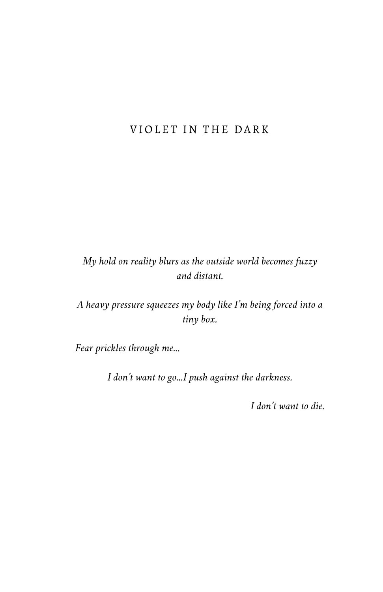## VIOLET IN THE DARK

*My hold on reality blurs as the outside world becomes fuzzy and distant.*

*A heavy pressure squeezes my body like I'm being forced into a tiny box.*

*Fear prickles through me...*

*I don't want to go...I push against the darkness.*

*I don't want to die.*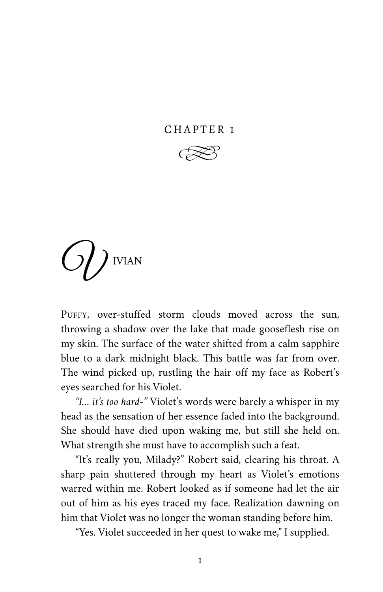## CHAPTER 1



<sup>O</sup>U IVIAN

PUFFY, over-stuffed storm clouds moved across the sun, throwing a shadow over the lake that made gooseflesh rise on my skin. The surface of the water shifted from a calm sapphire blue to a dark midnight black. This battle was far from over. The wind picked up, rustling the hair off my face as Robert's eyes searched for his Violet.

*"I… it's too hard-"* Violet's words were barely a whisper in my head as the sensation of her essence faded into the background. She should have died upon waking me, but still she held on. What strength she must have to accomplish such a feat.

"It's really you, Milady?" Robert said, clearing his throat. A sharp pain shuttered through my heart as Violet's emotions warred within me. Robert looked as if someone had let the air out of him as his eyes traced my face. Realization dawning on him that Violet was no longer the woman standing before him.

"Yes. Violet succeeded in her quest to wake me," I supplied.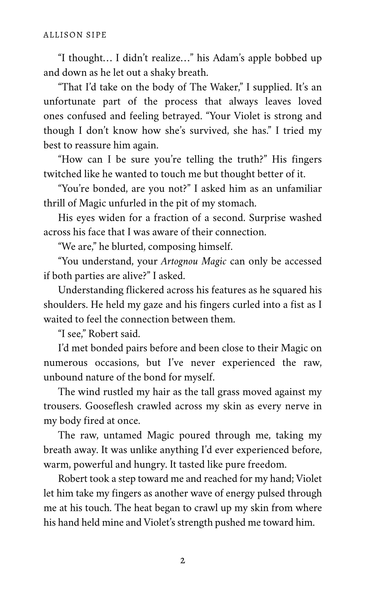"I thought… I didn't realize…" his Adam's apple bobbed up and down as he let out a shaky breath.

"That I'd take on the body of The Waker," I supplied. It's an unfortunate part of the process that always leaves loved ones confused and feeling betrayed. "Your Violet is strong and though I don't know how she's survived, she has." I tried my best to reassure him again.

"How can I be sure you're telling the truth?" His fingers twitched like he wanted to touch me but thought better of it.

"You're bonded, are you not?" I asked him as an unfamiliar thrill of Magic unfurled in the pit of my stomach.

His eyes widen for a fraction of a second. Surprise washed across his face that I was aware of their connection.

"We are," he blurted, composing himself.

"You understand, your *Artognou Magic* can only be accessed if both parties are alive?" I asked.

Understanding flickered across his features as he squared his shoulders. He held my gaze and his fingers curled into a fist as I waited to feel the connection between them.

"I see," Robert said.

I'd met bonded pairs before and been close to their Magic on numerous occasions, but I've never experienced the raw, unbound nature of the bond for myself.

The wind rustled my hair as the tall grass moved against my trousers. Gooseflesh crawled across my skin as every nerve in my body fired at once.

The raw, untamed Magic poured through me, taking my breath away. It was unlike anything I'd ever experienced before, warm, powerful and hungry. It tasted like pure freedom.

Robert took a step toward me and reached for my hand; Violet let him take my fingers as another wave of energy pulsed through me at his touch. The heat began to crawl up my skin from where his hand held mine and Violet's strength pushed me toward him.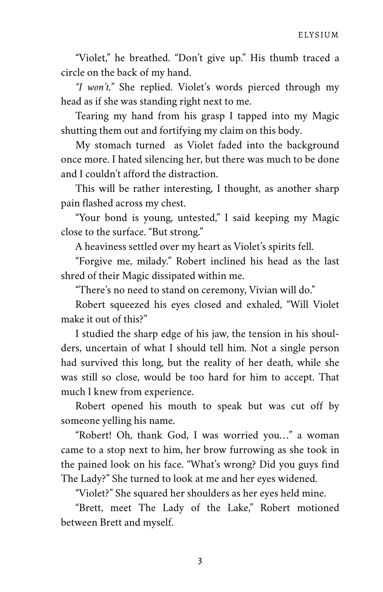"Violet," he breathed. "Don't give up." His thumb traced a circle on the back of my hand.

*"I won't,"* She replied. Violet's words pierced through my head as if she was standing right next to me.

Tearing my hand from his grasp I tapped into my Magic shutting them out and fortifying my claim on this body.

My stomach turned as Violet faded into the background once more. I hated silencing her, but there was much to be done and I couldn't afford the distraction.

This will be rather interesting, I thought, as another sharp pain flashed across my chest.

"Your bond is young, untested," I said keeping my Magic close to the surface. "But strong."

A heaviness settled over my heart as Violet's spirits fell.

"Forgive me, milady." Robert inclined his head as the last shred of their Magic dissipated within me.

"There's no need to stand on ceremony, Vivian will do."

Robert squeezed his eyes closed and exhaled, "Will Violet make it out of this?"

I studied the sharp edge of his jaw, the tension in his shoul‐ ders, uncertain of what I should tell him. Not a single person had survived this long, but the reality of her death, while she was still so close, would be too hard for him to accept. That much I knew from experience.

Robert opened his mouth to speak but was cut off by someone yelling his name.

"Robert! Oh, thank God, I was worried you…" a woman came to a stop next to him, her brow furrowing as she took in the pained look on his face. "What's wrong? Did you guys find The Lady?" She turned to look at me and her eyes widened.

"Violet?" She squared her shoulders as her eyes held mine.

"Brett, meet The Lady of the Lake," Robert motioned between Brett and myself.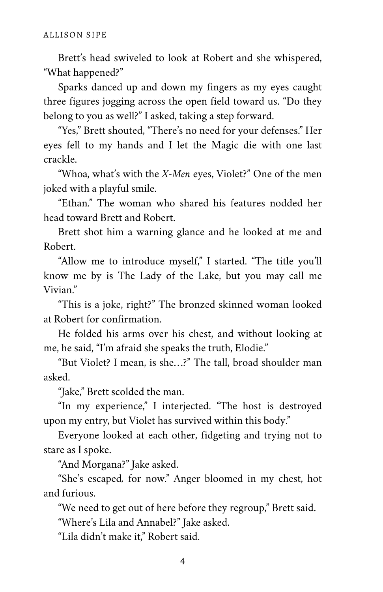Brett's head swiveled to look at Robert and she whispered, "What happened?"

Sparks danced up and down my fingers as my eyes caught three figures jogging across the open field toward us. "Do they belong to you as well?" I asked, taking a step forward.

"Yes," Brett shouted, "There's no need for your defenses." Her eyes fell to my hands and I let the Magic die with one last crackle.

"Whoa, what's with the *X-Men* eyes, Violet?" One of the men joked with a playful smile.

"Ethan." The woman who shared his features nodded her head toward Brett and Robert.

Brett shot him a warning glance and he looked at me and Robert.

"Allow me to introduce myself," I started. "The title you'll know me by is The Lady of the Lake, but you may call me Vivian."

"This is a joke, right?" The bronzed skinned woman looked at Robert for confirmation.

He folded his arms over his chest, and without looking at me, he said, "I'm afraid she speaks the truth, Elodie."

"But Violet? I mean, is she…?" The tall, broad shoulder man asked.

"Jake," Brett scolded the man.

"In my experience," I interjected. "The host is destroyed upon my entry, but Violet has survived within this body."

Everyone looked at each other, fidgeting and trying not to stare as I spoke.

"And Morgana?" Jake asked.

"She's escaped*,* for now." Anger bloomed in my chest, hot and furious.

"We need to get out of here before they regroup," Brett said.

"Where's Lila and Annabel?" Jake asked.

"Lila didn't make it," Robert said.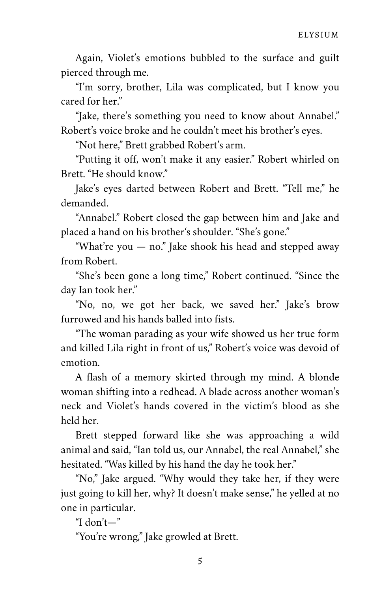Again, Violet's emotions bubbled to the surface and guilt pierced through me.

"I'm sorry, brother, Lila was complicated, but I know you cared for her."

"Jake, there's something you need to know about Annabel." Robert's voice broke and he couldn't meet his brother's eyes.

"Not here," Brett grabbed Robert's arm.

"Putting it off, won't make it any easier." Robert whirled on Brett. "He should know."

Jake's eyes darted between Robert and Brett. "Tell me," he demanded.

"Annabel." Robert closed the gap between him and Jake and placed a hand on his brother's shoulder. "She's gone."

"What're you — no." Jake shook his head and stepped away from Robert.

"She's been gone a long time," Robert continued. "Since the day Ian took her."

"No, no, we got her back, we saved her." Jake's brow furrowed and his hands balled into fists.

"The woman parading as your wife showed us her true form and killed Lila right in front of us," Robert's voice was devoid of emotion.

A flash of a memory skirted through my mind. A blonde woman shifting into a redhead. A blade across another woman's neck and Violet's hands covered in the victim's blood as she held her.

Brett stepped forward like she was approaching a wild animal and said, "Ian told us, our Annabel, the real Annabel," she hesitated. "Was killed by his hand the day he took her."

"No," Jake argued. "Why would they take her, if they were just going to kill her, why? It doesn't make sense," he yelled at no one in particular.

"I don't—"

"You're wrong," Jake growled at Brett.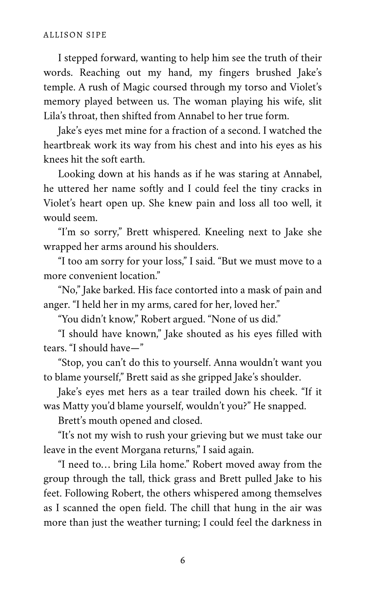I stepped forward, wanting to help him see the truth of their words. Reaching out my hand, my fingers brushed Jake's temple. A rush of Magic coursed through my torso and Violet's memory played between us. The woman playing his wife, slit Lila's throat, then shifted from Annabel to her true form.

Jake's eyes met mine for a fraction of a second. I watched the heartbreak work its way from his chest and into his eyes as his knees hit the soft earth.

Looking down at his hands as if he was staring at Annabel, he uttered her name softly and I could feel the tiny cracks in Violet's heart open up. She knew pain and loss all too well, it would seem.

"I'm so sorry," Brett whispered. Kneeling next to Jake she wrapped her arms around his shoulders.

"I too am sorry for your loss," I said. "But we must move to a more convenient location."

"No," Jake barked. His face contorted into a mask of pain and anger. "I held her in my arms, cared for her, loved her."

"You didn't know," Robert argued. "None of us did."

"I should have known," Jake shouted as his eyes filled with tears. "I should have—"

"Stop, you can't do this to yourself. Anna wouldn't want you to blame yourself," Brett said as she gripped Jake's shoulder.

Jake's eyes met hers as a tear trailed down his cheek. "If it was Matty you'd blame yourself, wouldn't you?" He snapped.

Brett's mouth opened and closed.

"It's not my wish to rush your grieving but we must take our leave in the event Morgana returns," I said again.

"I need to… bring Lila home." Robert moved away from the group through the tall, thick grass and Brett pulled Jake to his feet. Following Robert, the others whispered among themselves as I scanned the open field. The chill that hung in the air was more than just the weather turning; I could feel the darkness in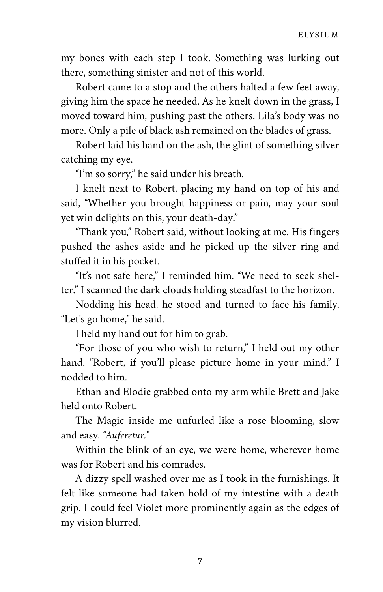my bones with each step I took. Something was lurking out there, something sinister and not of this world.

Robert came to a stop and the others halted a few feet away, giving him the space he needed. As he knelt down in the grass, I moved toward him, pushing past the others. Lila's body was no more. Only a pile of black ash remained on the blades of grass.

Robert laid his hand on the ash, the glint of something silver catching my eye.

"I'm so sorry," he said under his breath.

I knelt next to Robert, placing my hand on top of his and said, "Whether you brought happiness or pain, may your soul yet win delights on this, your death-day."

"Thank you," Robert said, without looking at me. His fingers pushed the ashes aside and he picked up the silver ring and stuffed it in his pocket.

"It's not safe here," I reminded him. "We need to seek shel‐ ter." I scanned the dark clouds holding steadfast to the horizon.

Nodding his head, he stood and turned to face his family. "Let's go home," he said.

I held my hand out for him to grab.

"For those of you who wish to return," I held out my other hand. "Robert, if you'll please picture home in your mind." I nodded to him.

Ethan and Elodie grabbed onto my arm while Brett and Jake held onto Robert.

The Magic inside me unfurled like a rose blooming, slow and easy. *"Auferetur."*

Within the blink of an eye, we were home, wherever home was for Robert and his comrades.

A dizzy spell washed over me as I took in the furnishings. It felt like someone had taken hold of my intestine with a death grip. I could feel Violet more prominently again as the edges of my vision blurred.